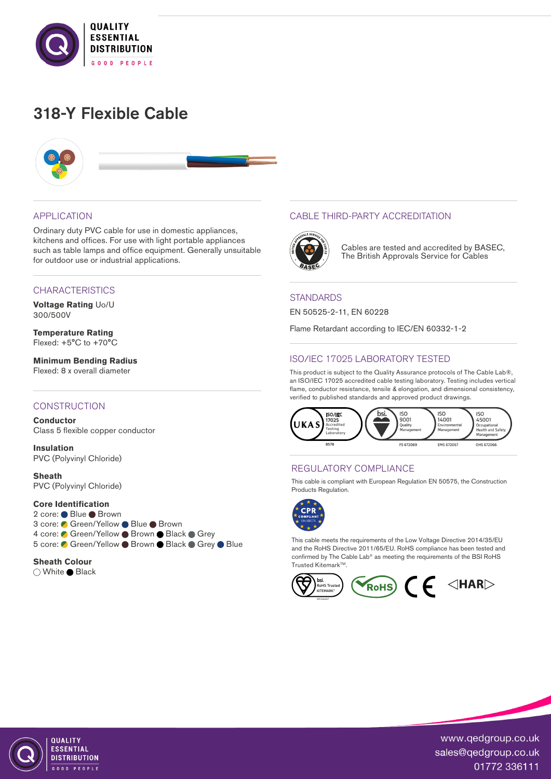

# 318-Y Flexible Cable



### APPLICATION

Ordinary duty PVC cable for use in domestic appliances, kitchens and offices. For use with light portable appliances such as table lamps and office equipment. Generally unsuitable for outdoor use or industrial applications.

## **CHARACTERISTICS**

**Voltage Rating** Uo/U 300/500V

**Temperature Rating** Flexed: +5°C to +70°C

**Minimum Bending Radius**  Flexed: 8 x overall diameter

## **CONSTRUCTION**

**Conductor** Class 5 flexible copper conductor

**Insulation** PVC (Polyvinyl Chloride)

**Sheath** PVC (Polyvinyl Chloride)

## **Core Identification**

2 core: ● Blue ● Brown 3 core: ● Green/Yellow ● Blue ● Brown 4 core: Green/Yellow Brown Black Grey 5 core: ● Green/Yellow ● Brown ● Black ● Grey ● Blue

#### **Sheath Colour**

○ White ● Black

## CABLE THIRD-PARTY ACCREDITATION



Cables are tested and accredited by BASEC, The British Approvals Service for Cables

### **STANDARDS**

EN 50525-2-11, EN 60228

Flame Retardant according to IEC/EN 60332-1-2

# ISO/IEC 17025 LABORATORY TESTED

This product is subject to the Quality Assurance protocols of The Cable Lab®, an ISO/IEC 17025 accredited cable testing laboratory. Testing includes vertical flame, conductor resistance, tensile & elongation, and dimensional consistency, verified to published standards and approved product drawings.



## REGULATORY COMPLIANCE

This cable is compliant with European Regulation EN 50575, the Construction Products Regulation.



This cable meets the requirements of the Low Voltage Directive 2014/35/EU and the RoHS Directive 2011/65/EU. RoHS compliance has been tested and confirmed by The Cable Lab® as meeting the requirements of the BSI RoHS Trusted Kitemark™





QUALITY **FSSENTIAL DISTRIBUTION** OD PEOPLE

www.qedgroup.co.uk sales@qedgroup.co.uk 01772 336111